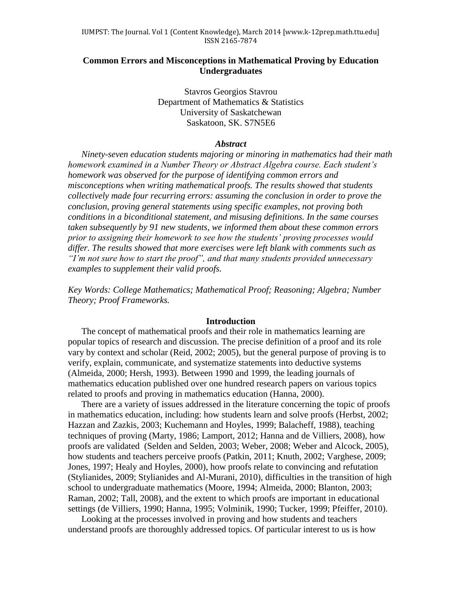# **Common Errors and Misconceptions in Mathematical Proving by Education Undergraduates**

Stavros Georgios Stavrou Department of Mathematics & Statistics University of Saskatchewan Saskatoon, SK. S7N5E6

#### *Abstract*

*Ninety-seven education students majoring or minoring in mathematics had their math homework examined in a Number Theory or Abstract Algebra course. Each student's homework was observed for the purpose of identifying common errors and misconceptions when writing mathematical proofs. The results showed that students collectively made four recurring errors: assuming the conclusion in order to prove the conclusion, proving general statements using specific examples, not proving both conditions in a biconditional statement, and misusing definitions. In the same courses taken subsequently by 91 new students, we informed them about these common errors prior to assigning their homework to see how the students' proving processes would differ. The results showed that more exercises were left blank with comments such as "I'm not sure how to start the proof", and that many students provided unnecessary examples to supplement their valid proofs.* 

*Key Words: College Mathematics; Mathematical Proof; Reasoning; Algebra; Number Theory; Proof Frameworks.*

### **Introduction**

The concept of mathematical proofs and their role in mathematics learning are popular topics of research and discussion. The precise definition of a proof and its role vary by context and scholar (Reid, 2002; 2005), but the general purpose of proving is to verify, explain, communicate, and systematize statements into deductive systems (Almeida, 2000; Hersh, 1993). Between 1990 and 1999, the leading journals of mathematics education published over one hundred research papers on various topics related to proofs and proving in mathematics education (Hanna, 2000).

There are a variety of issues addressed in the literature concerning the topic of proofs in mathematics education, including: how students learn and solve proofs (Herbst, 2002; Hazzan and Zazkis, 2003; Kuchemann and Hoyles, 1999; Balacheff, 1988), teaching techniques of proving (Marty, 1986; Lamport, 2012; Hanna and de Villiers, 2008), how proofs are validated (Selden and Selden, 2003; Weber, 2008; Weber and Alcock, 2005), how students and teachers perceive proofs (Patkin, 2011; Knuth, 2002; Varghese, 2009; Jones, 1997; Healy and Hoyles, 2000), how proofs relate to convincing and refutation (Stylianides, 2009; Stylianides and Al-Murani, 2010), difficulties in the transition of high school to undergraduate mathematics (Moore, 1994; Almeida, 2000; Blanton, 2003; Raman, 2002; Tall, 2008), and the extent to which proofs are important in educational settings (de Villiers, 1990; Hanna, 1995; Volminik, 1990; Tucker, 1999; Pfeiffer, 2010).

Looking at the processes involved in proving and how students and teachers understand proofs are thoroughly addressed topics. Of particular interest to us is how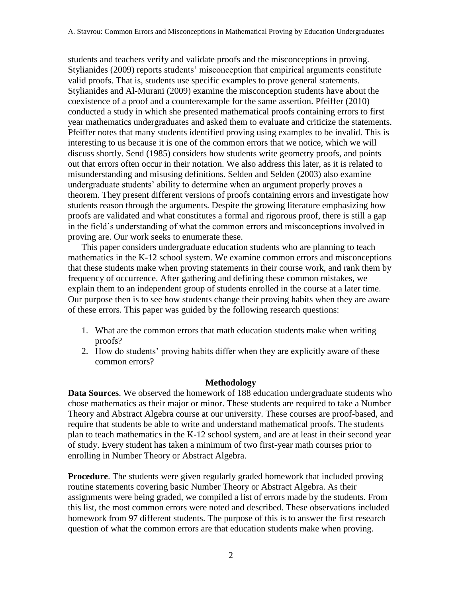students and teachers verify and validate proofs and the misconceptions in proving. Stylianides (2009) reports students' misconception that empirical arguments constitute valid proofs. That is, students use specific examples to prove general statements. Stylianides and Al-Murani (2009) examine the misconception students have about the coexistence of a proof and a counterexample for the same assertion. Pfeiffer (2010) conducted a study in which she presented mathematical proofs containing errors to first year mathematics undergraduates and asked them to evaluate and criticize the statements. Pfeiffer notes that many students identified proving using examples to be invalid. This is interesting to us because it is one of the common errors that we notice, which we will discuss shortly. Send (1985) considers how students write geometry proofs, and points out that errors often occur in their notation. We also address this later, as it is related to misunderstanding and misusing definitions. Selden and Selden (2003) also examine undergraduate students' ability to determine when an argument properly proves a theorem. They present different versions of proofs containing errors and investigate how students reason through the arguments. Despite the growing literature emphasizing how proofs are validated and what constitutes a formal and rigorous proof, there is still a gap in the field's understanding of what the common errors and misconceptions involved in proving are. Our work seeks to enumerate these.

This paper considers undergraduate education students who are planning to teach mathematics in the K-12 school system. We examine common errors and misconceptions that these students make when proving statements in their course work, and rank them by frequency of occurrence. After gathering and defining these common mistakes, we explain them to an independent group of students enrolled in the course at a later time. Our purpose then is to see how students change their proving habits when they are aware of these errors. This paper was guided by the following research questions:

- 1. What are the common errors that math education students make when writing proofs?
- 2. How do students' proving habits differ when they are explicitly aware of these common errors?

## **Methodology**

**Data Sources**. We observed the homework of 188 education undergraduate students who chose mathematics as their major or minor. These students are required to take a Number Theory and Abstract Algebra course at our university. These courses are proof-based, and require that students be able to write and understand mathematical proofs. The students plan to teach mathematics in the K-12 school system, and are at least in their second year of study. Every student has taken a minimum of two first-year math courses prior to enrolling in Number Theory or Abstract Algebra.

**Procedure**. The students were given regularly graded homework that included proving routine statements covering basic Number Theory or Abstract Algebra. As their assignments were being graded, we compiled a list of errors made by the students. From this list, the most common errors were noted and described. These observations included homework from 97 different students. The purpose of this is to answer the first research question of what the common errors are that education students make when proving.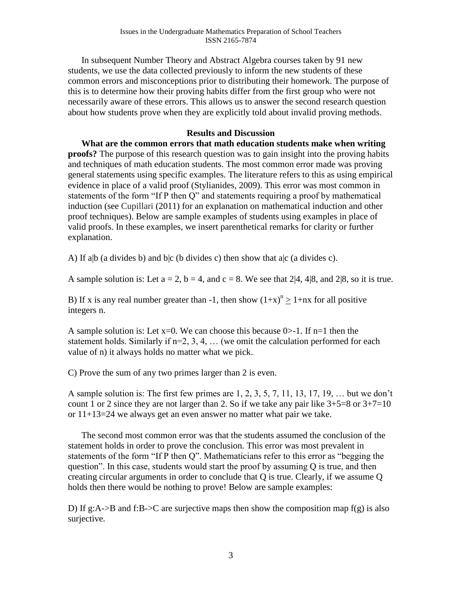In subsequent Number Theory and Abstract Algebra courses taken by 91 new students, we use the data collected previously to inform the new students of these common errors and misconceptions prior to distributing their homework. The purpose of this is to determine how their proving habits differ from the first group who were not necessarily aware of these errors. This allows us to answer the second research question about how students prove when they are explicitly told about invalid proving methods.

# **Results and Discussion**

**What are the common errors that math education students make when writing proofs?** The purpose of this research question was to gain insight into the proving habits and techniques of math education students. The most common error made was proving general statements using specific examples. The literature refers to this as using empirical evidence in place of a valid proof (Stylianides, 2009). This error was most common in statements of the form "If P then Q" and statements requiring a proof by mathematical induction (see Cupillari (2011) for an explanation on mathematical induction and other proof techniques). Below are sample examples of students using examples in place of valid proofs. In these examples, we insert parenthetical remarks for clarity or further explanation.

A) If a|b (a divides b) and b|c (b divides c) then show that a|c (a divides c).

A sample solution is: Let  $a = 2$ ,  $b = 4$ , and  $c = 8$ . We see that 2|4, 4|8, and 2|8, so it is true.

B) If x is any real number greater than -1, then show  $(1+x)^n \ge 1+nx$  for all positive integers n.

A sample solution is: Let  $x=0$ . We can choose this because  $0&gt-1$ . If  $n=1$  then the statement holds. Similarly if  $n=2, 3, 4, \ldots$  (we omit the calculation performed for each value of n) it always holds no matter what we pick.

C) Prove the sum of any two primes larger than 2 is even.

A sample solution is: The first few primes are 1, 2, 3, 5, 7, 11, 13, 17, 19, … but we don't count 1 or 2 since they are not larger than 2. So if we take any pair like  $3+5=8$  or  $3+7=10$ or 11+13=24 we always get an even answer no matter what pair we take.

The second most common error was that the students assumed the conclusion of the statement holds in order to prove the conclusion. This error was most prevalent in statements of the form "If P then Q". Mathematicians refer to this error as "begging the question". In this case, students would start the proof by assuming Q is true, and then creating circular arguments in order to conclude that Q is true. Clearly, if we assume Q holds then there would be nothing to prove! Below are sample examples:

D) If g:A- $>B$  and f:B- $\geq$ C are surjective maps then show the composition map f(g) is also surjective.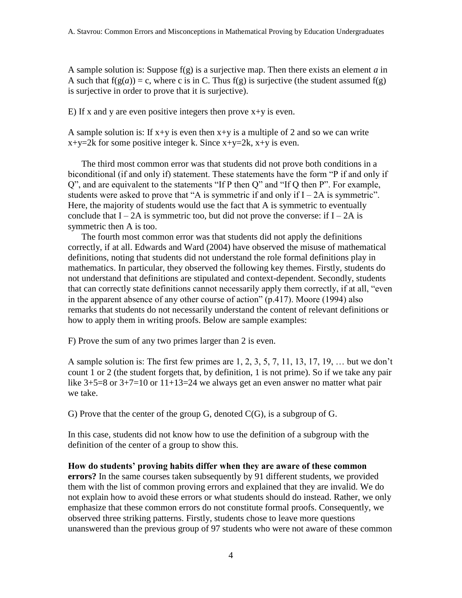A sample solution is: Suppose f(g) is a surjective map. Then there exists an element *a* in A such that  $f(g(a)) = c$ , where c is in C. Thus  $f(g)$  is surjective (the student assumed  $f(g)$ ) is surjective in order to prove that it is surjective).

E) If x and y are even positive integers then prove  $x+y$  is even.

A sample solution is: If  $x+y$  is even then  $x+y$  is a multiple of 2 and so we can write  $x+y=2k$  for some positive integer k. Since  $x+y=2k$ ,  $x+y$  is even.

The third most common error was that students did not prove both conditions in a biconditional (if and only if) statement. These statements have the form "P if and only if Q", and are equivalent to the statements "If P then Q" and "If Q then P". For example, students were asked to prove that "A is symmetric if and only if  $I - 2A$  is symmetric". Here, the majority of students would use the fact that A is symmetric to eventually conclude that  $I - 2A$  is symmetric too, but did not prove the converse: if  $I - 2A$  is symmetric then A is too.

The fourth most common error was that students did not apply the definitions correctly, if at all. Edwards and Ward (2004) have observed the misuse of mathematical definitions, noting that students did not understand the role formal definitions play in mathematics. In particular, they observed the following key themes. Firstly, students do not understand that definitions are stipulated and context-dependent. Secondly, students that can correctly state definitions cannot necessarily apply them correctly, if at all, "even in the apparent absence of any other course of action" (p.417). Moore (1994) also remarks that students do not necessarily understand the content of relevant definitions or how to apply them in writing proofs. Below are sample examples:

F) Prove the sum of any two primes larger than 2 is even.

A sample solution is: The first few primes are 1, 2, 3, 5, 7, 11, 13, 17, 19, … but we don't count 1 or 2 (the student forgets that, by definition, 1 is not prime). So if we take any pair like  $3+5=8$  or  $3+7=10$  or  $11+13=24$  we always get an even answer no matter what pair we take.

G) Prove that the center of the group G, denoted  $C(G)$ , is a subgroup of G.

In this case, students did not know how to use the definition of a subgroup with the definition of the center of a group to show this.

**How do students' proving habits differ when they are aware of these common errors?** In the same courses taken subsequently by 91 different students, we provided them with the list of common proving errors and explained that they are invalid. We do not explain how to avoid these errors or what students should do instead. Rather, we only emphasize that these common errors do not constitute formal proofs. Consequently, we observed three striking patterns. Firstly, students chose to leave more questions unanswered than the previous group of 97 students who were not aware of these common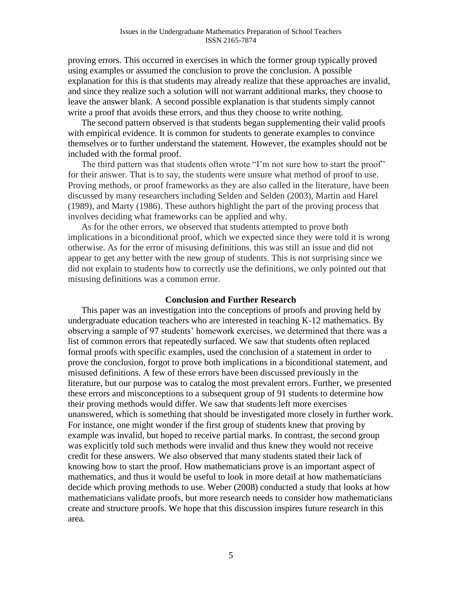proving errors. This occurred in exercises in which the former group typically proved using examples or assumed the conclusion to prove the conclusion. A possible explanation for this is that students may already realize that these approaches are invalid, and since they realize such a solution will not warrant additional marks, they choose to leave the answer blank. A second possible explanation is that students simply cannot write a proof that avoids these errors, and thus they choose to write nothing.

The second pattern observed is that students began supplementing their valid proofs with empirical evidence. It is common for students to generate examples to convince themselves or to further understand the statement. However, the examples should not be included with the formal proof.

The third pattern was that students often wrote "I'm not sure how to start the proof" for their answer. That is to say, the students were unsure what method of proof to use. Proving methods, or proof frameworks as they are also called in the literature, have been discussed by many researchers including Selden and Selden (2003), Martin and Harel (1989), and Marty (1986). These authors highlight the part of the proving process that involves deciding what frameworks can be applied and why.

As for the other errors, we observed that students attempted to prove both implications in a biconditional proof, which we expected since they were told it is wrong otherwise. As for the error of misusing definitions, this was still an issue and did not appear to get any better with the new group of students. This is not surprising since we did not explain to students how to correctly use the definitions, we only pointed out that misusing definitions was a common error.

### **Conclusion and Further Research**

This paper was an investigation into the conceptions of proofs and proving held by undergraduate education teachers who are interested in teaching K-12 mathematics. By observing a sample of 97 students' homework exercises, we determined that there was a list of common errors that repeatedly surfaced. We saw that students often replaced formal proofs with specific examples, used the conclusion of a statement in order to prove the conclusion, forgot to prove both implications in a biconditional statement, and misused definitions. A few of these errors have been discussed previously in the literature, but our purpose was to catalog the most prevalent errors. Further, we presented these errors and misconceptions to a subsequent group of 91 students to determine how their proving methods would differ. We saw that students left more exercises unanswered, which is something that should be investigated more closely in further work. For instance, one might wonder if the first group of students knew that proving by example was invalid, but hoped to receive partial marks. In contrast, the second group was explicitly told such methods were invalid and thus knew they would not receive credit for these answers. We also observed that many students stated their lack of knowing how to start the proof. How mathematicians prove is an important aspect of mathematics, and thus it would be useful to look in more detail at how mathematicians decide which proving methods to use. Weber (2008) conducted a study that looks at how mathematicians validate proofs, but more research needs to consider how mathematicians create and structure proofs. We hope that this discussion inspires future research in this area.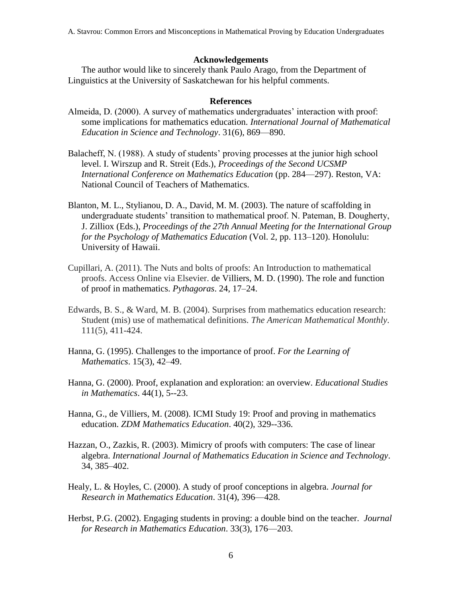A. Stavrou: Common Errors and Misconceptions in Mathematical Proving by Education Undergraduates

### **Acknowledgements**

The author would like to sincerely thank Paulo Arago, from the Department of Linguistics at the University of Saskatchewan for his helpful comments.

### **References**

- Almeida, D. (2000). A survey of mathematics undergraduates' interaction with proof: some implications for mathematics education. *International Journal of Mathematical Education in Science and Technology*. 31(6), 869—890.
- Balacheff, N. (1988). A study of students' proving processes at the junior high school level. I. Wirszup and R. Streit (Eds.), *Proceedings of the Second UCSMP International Conference on Mathematics Education* (pp. 284—297). Reston, VA: National Council of Teachers of Mathematics.
- Blanton, M. L., Stylianou, D. A., David, M. M. (2003). The nature of scaffolding in undergraduate students' transition to mathematical proof. N. Pateman, B. Dougherty, J. Zilliox (Eds.), *Proceedings of the 27th Annual Meeting for the International Group for the Psychology of Mathematics Education* (Vol. 2, pp. 113–120). Honolulu: University of Hawaii.
- Cupillari, A. (2011). The Nuts and bolts of proofs: An Introduction to mathematical proofs. Access Online via Elsevier. de Villiers, M. D. (1990). The role and function of proof in mathematics. *Pythagoras*. 24, 17–24.
- Edwards, B. S., & Ward, M. B. (2004). Surprises from mathematics education research: Student (mis) use of mathematical definitions. *The American Mathematical Monthly*. 111(5), 411-424.
- Hanna, G. (1995). Challenges to the importance of proof. *For the Learning of Mathematics*. 15(3), 42–49.
- Hanna, G. (2000). Proof, explanation and exploration: an overview. *Educational Studies in Mathematics*. 44(1), 5--23.
- Hanna, G., de Villiers, M. (2008). ICMI Study 19: Proof and proving in mathematics education. *ZDM Mathematics Education*. 40(2), 329--336.
- Hazzan, O., Zazkis, R. (2003). Mimicry of proofs with computers: The case of linear algebra. *International Journal of Mathematics Education in Science and Technology*. 34, 385–402.
- Healy, L. & Hoyles, C. (2000). A study of proof conceptions in algebra. *Journal for Research in Mathematics Education*. 31(4), 396—428.
- Herbst, P.G. (2002). Engaging students in proving: a double bind on the teacher. *Journal for Research in Mathematics Education*. 33(3), 176—203.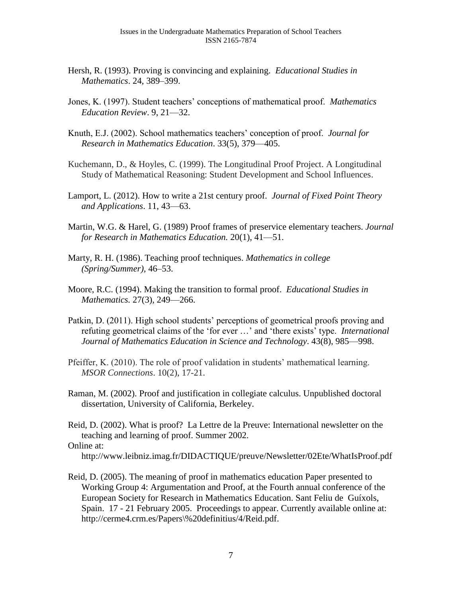- Hersh, R. (1993). Proving is convincing and explaining. *Educational Studies in Mathematics*. 24, 389–399.
- Jones, K. (1997). Student teachers' conceptions of mathematical proof. *Mathematics Education Review*. 9, 21—32.
- Knuth, E.J. (2002). School mathematics teachers' conception of proof. *Journal for Research in Mathematics Education*. 33(5), 379—405.
- Kuchemann, D., & Hoyles, C. (1999). The Longitudinal Proof Project. A Longitudinal Study of Mathematical Reasoning: Student Development and School Influences.
- Lamport, L. (2012). How to write a 21st century proof. *Journal of Fixed Point Theory and Applications*. 11, 43—63.
- Martin, W.G. & Harel, G. (1989) Proof frames of preservice elementary teachers. *Journal for Research in Mathematics Education.* 20(1), 41—51.
- Marty, R. H. (1986). Teaching proof techniques. *Mathematics in college (Spring/Summer),* 46–53.
- Moore, R.C. (1994). Making the transition to formal proof. *Educational Studies in Mathematics.* 27(3), 249—266.
- Patkin, D. (2011). High school students' perceptions of geometrical proofs proving and refuting geometrical claims of the 'for ever …' and 'there exists' type. *International Journal of Mathematics Education in Science and Technology*. 43(8), 985—998.
- Pfeiffer, K. (2010). The role of proof validation in students' mathematical learning. *MSOR Connections*. 10(2), 17-21.
- Raman, M. (2002). Proof and justification in collegiate calculus. Unpublished doctoral dissertation, University of California, Berkeley.
- Reid, D. (2002). What is proof? La Lettre de la Preuve: International newsletter on the teaching and learning of proof. Summer 2002. Online at:

http://www.leibniz.imag.fr/DIDACTIQUE/preuve/Newsletter/02Ete/WhatIsProof.pdf

Reid, D. (2005). The meaning of proof in mathematics education Paper presented to Working Group 4: Argumentation and Proof, at the Fourth annual conference of the European Society for Research in Mathematics Education. Sant Feliu de Guíxols, Spain. 17 - 21 February 2005. Proceedings to appear. Currently available online at: http://cerme4.crm.es/Papers\%20definitius/4/Reid.pdf.